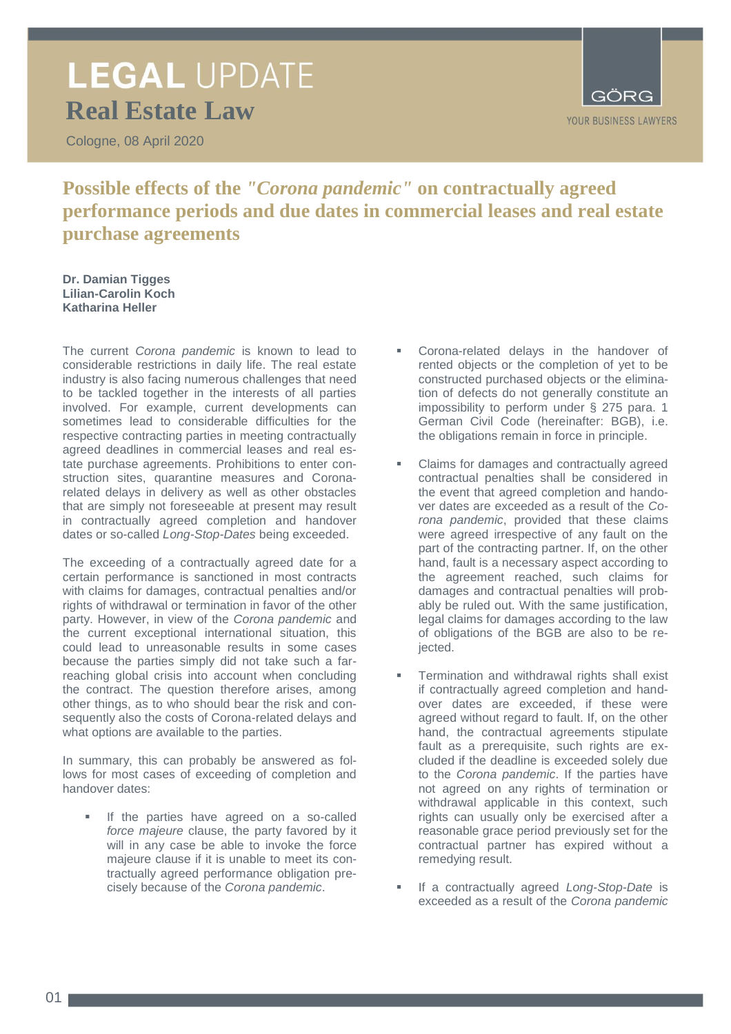# **LEGAL UPDATE Real Estate Law**

Cologne, 08 April 2020



**Possible effects of the** *"Corona pandemic"* **on contractually agreed performance periods and due dates in commercial leases and real estate purchase agreements**

**Dr. Damian Tigges Lilian-Carolin Koch Katharina Heller** 

The current *Corona pandemic* is known to lead to considerable restrictions in daily life. The real estate industry is also facing numerous challenges that need to be tackled together in the interests of all parties involved. For example, current developments can sometimes lead to considerable difficulties for the respective contracting parties in meeting contractually agreed deadlines in commercial leases and real estate purchase agreements. Prohibitions to enter construction sites, quarantine measures and Coronarelated delays in delivery as well as other obstacles that are simply not foreseeable at present may result in contractually agreed completion and handover dates or so-called *Long-Stop-Dates* being exceeded.

The exceeding of a contractually agreed date for a certain performance is sanctioned in most contracts with claims for damages, contractual penalties and/or rights of withdrawal or termination in favor of the other party. However, in view of the *Corona pandemic* and the current exceptional international situation, this could lead to unreasonable results in some cases because the parties simply did not take such a farreaching global crisis into account when concluding the contract. The question therefore arises, among other things, as to who should bear the risk and consequently also the costs of Corona-related delays and what options are available to the parties.

In summary, this can probably be answered as follows for most cases of exceeding of completion and handover dates:

 If the parties have agreed on a so-called *force majeure* clause, the party favored by it will in any case be able to invoke the force majeure clause if it is unable to meet its contractually agreed performance obligation precisely because of the *Corona pandemic*.

- Corona-related delays in the handover of rented objects or the completion of yet to be constructed purchased objects or the elimination of defects do not generally constitute an impossibility to perform under § 275 para. 1 German Civil Code (hereinafter: BGB), i.e. the obligations remain in force in principle.
- Claims for damages and contractually agreed contractual penalties shall be considered in the event that agreed completion and handover dates are exceeded as a result of the *Corona pandemic*, provided that these claims were agreed irrespective of any fault on the part of the contracting partner. If, on the other hand, fault is a necessary aspect according to the agreement reached, such claims for damages and contractual penalties will probably be ruled out. With the same justification, legal claims for damages according to the law of obligations of the BGB are also to be rejected.
- Termination and withdrawal rights shall exist if contractually agreed completion and handover dates are exceeded, if these were agreed without regard to fault. If, on the other hand, the contractual agreements stipulate fault as a prerequisite, such rights are excluded if the deadline is exceeded solely due to the *Corona pandemic*. If the parties have not agreed on any rights of termination or withdrawal applicable in this context, such rights can usually only be exercised after a reasonable grace period previously set for the contractual partner has expired without a remedying result.
- If a contractually agreed *Long-Stop-Date* is exceeded as a result of the *Corona pandemic*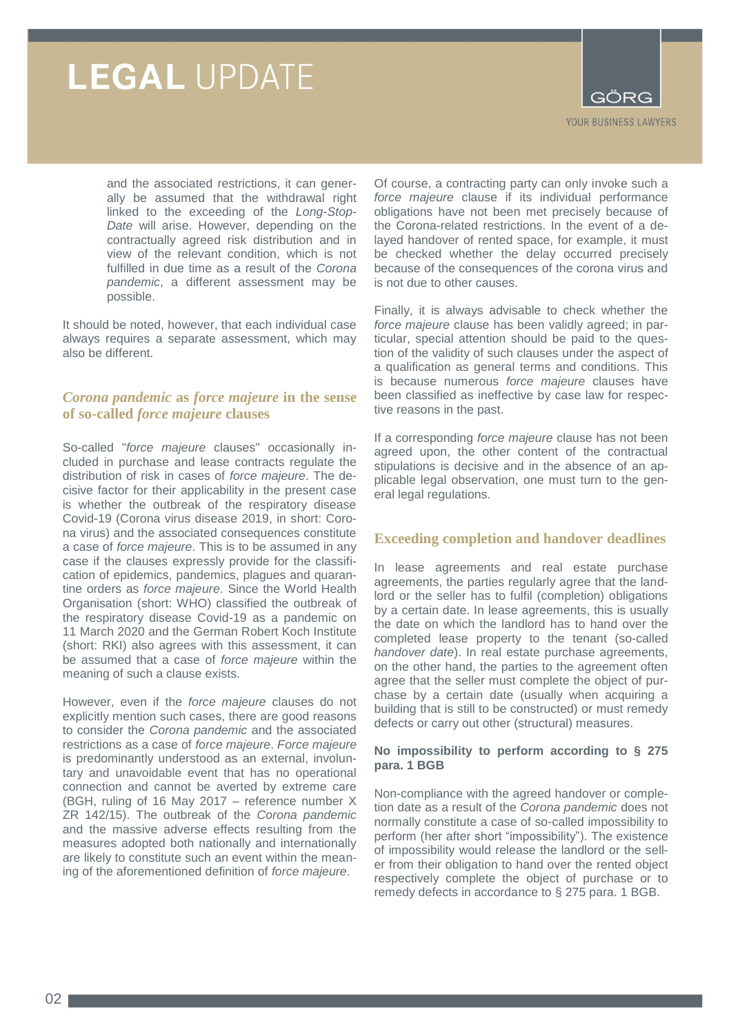

and the associated restrictions, it can generally be assumed that the withdrawal right linked to the exceeding of the *Long-Stop-Date* will arise. However, depending on the contractually agreed risk distribution and in view of the relevant condition, which is not fulfilled in due time as a result of the *Corona pandemic*, a different assessment may be possible.

It should be noted, however, that each individual case always requires a separate assessment, which may also be different.

## *Corona pandemic* **as** *force majeure* **in the sense of so-called** *force majeure* **clauses**

So-called "*force majeure* clauses" occasionally included in purchase and lease contracts regulate the distribution of risk in cases of *force majeure*. The decisive factor for their applicability in the present case is whether the outbreak of the respiratory disease Covid-19 (Corona virus disease 2019, in short: Corona virus) and the associated consequences constitute a case of *force majeure*. This is to be assumed in any case if the clauses expressly provide for the classification of epidemics, pandemics, plagues and quarantine orders as *force majeure*. Since the World Health Organisation (short: WHO) classified the outbreak of the respiratory disease Covid-19 as a pandemic on 11 March 2020 and the German Robert Koch Institute (short: RKI) also agrees with this assessment, it can be assumed that a case of *force majeure* within the meaning of such a clause exists.

However, even if the *force majeure* clauses do not explicitly mention such cases, there are good reasons to consider the *Corona pandemic* and the associated restrictions as a case of *force majeure*. *Force majeure* is predominantly understood as an external, involuntary and unavoidable event that has no operational connection and cannot be averted by extreme care (BGH, ruling of 16 May 2017 – reference number X ZR 142/15). The outbreak of the *Corona pandemic* and the massive adverse effects resulting from the measures adopted both nationally and internationally are likely to constitute such an event within the meaning of the aforementioned definition of *force majeure*.

Of course, a contracting party can only invoke such a *force majeure* clause if its individual performance obligations have not been met precisely because of the Corona-related restrictions. In the event of a delayed handover of rented space, for example, it must be checked whether the delay occurred precisely because of the consequences of the corona virus and is not due to other causes.

Finally, it is always advisable to check whether the *force majeure* clause has been validly agreed; in particular, special attention should be paid to the question of the validity of such clauses under the aspect of a qualification as general terms and conditions. This is because numerous *force majeure* clauses have been classified as ineffective by case law for respective reasons in the past.

If a corresponding *force majeure* clause has not been agreed upon, the other content of the contractual stipulations is decisive and in the absence of an applicable legal observation, one must turn to the general legal regulations.

## **Exceeding completion and handover deadlines**

In lease agreements and real estate purchase agreements, the parties regularly agree that the landlord or the seller has to fulfil (completion) obligations by a certain date. In lease agreements, this is usually the date on which the landlord has to hand over the completed lease property to the tenant (so-called *handover date*). In real estate purchase agreements, on the other hand, the parties to the agreement often agree that the seller must complete the object of purchase by a certain date (usually when acquiring a building that is still to be constructed) or must remedy defects or carry out other (structural) measures.

#### **No impossibility to perform according to § 275 para. 1 BGB**

Non-compliance with the agreed handover or completion date as a result of the *Corona pandemic* does not normally constitute a case of so-called impossibility to perform (her after short "impossibility"). The existence of impossibility would release the landlord or the seller from their obligation to hand over the rented object respectively complete the object of purchase or to remedy defects in accordance to § 275 para. 1 BGB.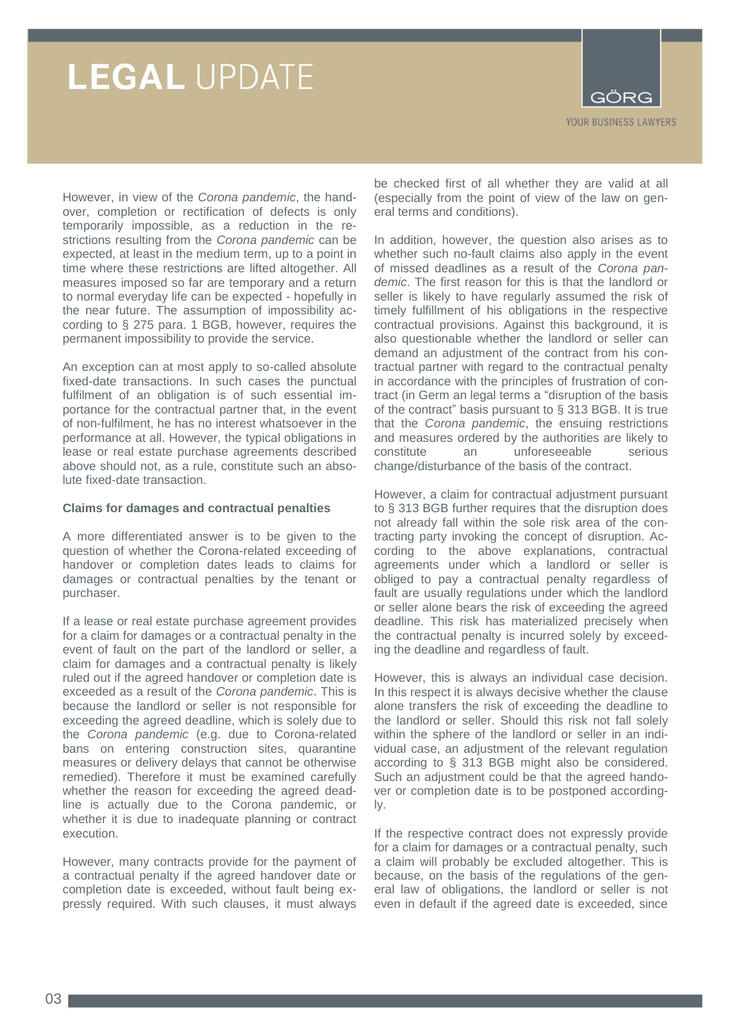

However, in view of the *Corona pandemic*, the handover, completion or rectification of defects is only temporarily impossible, as a reduction in the restrictions resulting from the *Corona pandemic* can be expected, at least in the medium term, up to a point in time where these restrictions are lifted altogether. All measures imposed so far are temporary and a return to normal everyday life can be expected - hopefully in the near future. The assumption of impossibility according to § 275 para. 1 BGB, however, requires the permanent impossibility to provide the service.

An exception can at most apply to so-called absolute fixed-date transactions. In such cases the punctual fulfilment of an obligation is of such essential importance for the contractual partner that, in the event of non-fulfilment, he has no interest whatsoever in the performance at all. However, the typical obligations in lease or real estate purchase agreements described above should not, as a rule, constitute such an absolute fixed-date transaction.

#### **Claims for damages and contractual penalties**

A more differentiated answer is to be given to the question of whether the Corona-related exceeding of handover or completion dates leads to claims for damages or contractual penalties by the tenant or purchaser.

If a lease or real estate purchase agreement provides for a claim for damages or a contractual penalty in the event of fault on the part of the landlord or seller, a claim for damages and a contractual penalty is likely ruled out if the agreed handover or completion date is exceeded as a result of the *Corona pandemic*. This is because the landlord or seller is not responsible for exceeding the agreed deadline, which is solely due to the *Corona pandemic* (e.g. due to Corona-related bans on entering construction sites, quarantine measures or delivery delays that cannot be otherwise remedied). Therefore it must be examined carefully whether the reason for exceeding the agreed deadline is actually due to the Corona pandemic, or whether it is due to inadequate planning or contract execution.

However, many contracts provide for the payment of a contractual penalty if the agreed handover date or completion date is exceeded, without fault being expressly required. With such clauses, it must always

be checked first of all whether they are valid at all (especially from the point of view of the law on general terms and conditions).

In addition, however, the question also arises as to whether such no-fault claims also apply in the event of missed deadlines as a result of the *Corona pandemic*. The first reason for this is that the landlord or seller is likely to have regularly assumed the risk of timely fulfillment of his obligations in the respective contractual provisions. Against this background, it is also questionable whether the landlord or seller can demand an adjustment of the contract from his contractual partner with regard to the contractual penalty in accordance with the principles of frustration of contract (in Germ an legal terms a "disruption of the basis of the contract" basis pursuant to § 313 BGB. It is true that the *Corona pandemic*, the ensuing restrictions and measures ordered by the authorities are likely to constitute an unforeseeable serious change/disturbance of the basis of the contract.

However, a claim for contractual adjustment pursuant to § 313 BGB further requires that the disruption does not already fall within the sole risk area of the contracting party invoking the concept of disruption. According to the above explanations, contractual agreements under which a landlord or seller is obliged to pay a contractual penalty regardless of fault are usually regulations under which the landlord or seller alone bears the risk of exceeding the agreed deadline. This risk has materialized precisely when the contractual penalty is incurred solely by exceeding the deadline and regardless of fault.

However, this is always an individual case decision. In this respect it is always decisive whether the clause alone transfers the risk of exceeding the deadline to the landlord or seller. Should this risk not fall solely within the sphere of the landlord or seller in an individual case, an adjustment of the relevant regulation according to § 313 BGB might also be considered. Such an adjustment could be that the agreed handover or completion date is to be postponed accordingly.

If the respective contract does not expressly provide for a claim for damages or a contractual penalty, such a claim will probably be excluded altogether. This is because, on the basis of the regulations of the general law of obligations, the landlord or seller is not even in default if the agreed date is exceeded, since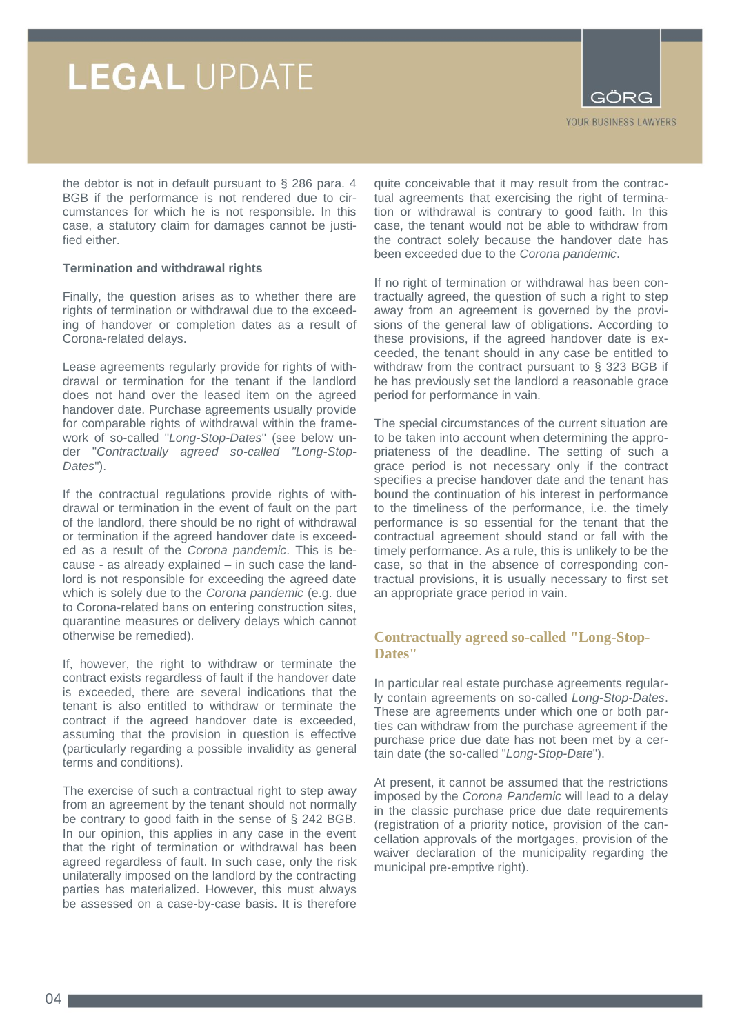

the debtor is not in default pursuant to § 286 para. 4 BGB if the performance is not rendered due to circumstances for which he is not responsible. In this case, a statutory claim for damages cannot be justified either.

#### **Termination and withdrawal rights**

Finally, the question arises as to whether there are rights of termination or withdrawal due to the exceeding of handover or completion dates as a result of Corona-related delays.

Lease agreements regularly provide for rights of withdrawal or termination for the tenant if the landlord does not hand over the leased item on the agreed handover date. Purchase agreements usually provide for comparable rights of withdrawal within the framework of so-called "*Long-Stop-Dates*" (see below under "*Contractually agreed so-called "Long-Stop-Dates*").

If the contractual regulations provide rights of withdrawal or termination in the event of fault on the part of the landlord, there should be no right of withdrawal or termination if the agreed handover date is exceeded as a result of the *Corona pandemic*. This is because - as already explained – in such case the landlord is not responsible for exceeding the agreed date which is solely due to the *Corona pandemic* (e.g. due to Corona-related bans on entering construction sites, quarantine measures or delivery delays which cannot otherwise be remedied).

If, however, the right to withdraw or terminate the contract exists regardless of fault if the handover date is exceeded, there are several indications that the tenant is also entitled to withdraw or terminate the contract if the agreed handover date is exceeded, assuming that the provision in question is effective (particularly regarding a possible invalidity as general terms and conditions).

The exercise of such a contractual right to step away from an agreement by the tenant should not normally be contrary to good faith in the sense of § 242 BGB. In our opinion, this applies in any case in the event that the right of termination or withdrawal has been agreed regardless of fault. In such case, only the risk unilaterally imposed on the landlord by the contracting parties has materialized. However, this must always be assessed on a case-by-case basis. It is therefore

quite conceivable that it may result from the contractual agreements that exercising the right of termination or withdrawal is contrary to good faith. In this case, the tenant would not be able to withdraw from the contract solely because the handover date has been exceeded due to the *Corona pandemic*.

If no right of termination or withdrawal has been contractually agreed, the question of such a right to step away from an agreement is governed by the provisions of the general law of obligations. According to these provisions, if the agreed handover date is exceeded, the tenant should in any case be entitled to withdraw from the contract pursuant to § 323 BGB if he has previously set the landlord a reasonable grace period for performance in vain.

The special circumstances of the current situation are to be taken into account when determining the appropriateness of the deadline. The setting of such a grace period is not necessary only if the contract specifies a precise handover date and the tenant has bound the continuation of his interest in performance to the timeliness of the performance, i.e. the timely performance is so essential for the tenant that the contractual agreement should stand or fall with the timely performance. As a rule, this is unlikely to be the case, so that in the absence of corresponding contractual provisions, it is usually necessary to first set an appropriate grace period in vain.

# **Contractually agreed so-called "Long-Stop-Dates"**

In particular real estate purchase agreements regularly contain agreements on so-called *Long-Stop-Dates*. These are agreements under which one or both parties can withdraw from the purchase agreement if the purchase price due date has not been met by a certain date (the so-called "*Long-Stop-Date*").

At present, it cannot be assumed that the restrictions imposed by the *Corona Pandemic* will lead to a delay in the classic purchase price due date requirements (registration of a priority notice, provision of the cancellation approvals of the mortgages, provision of the waiver declaration of the municipality regarding the municipal pre-emptive right).